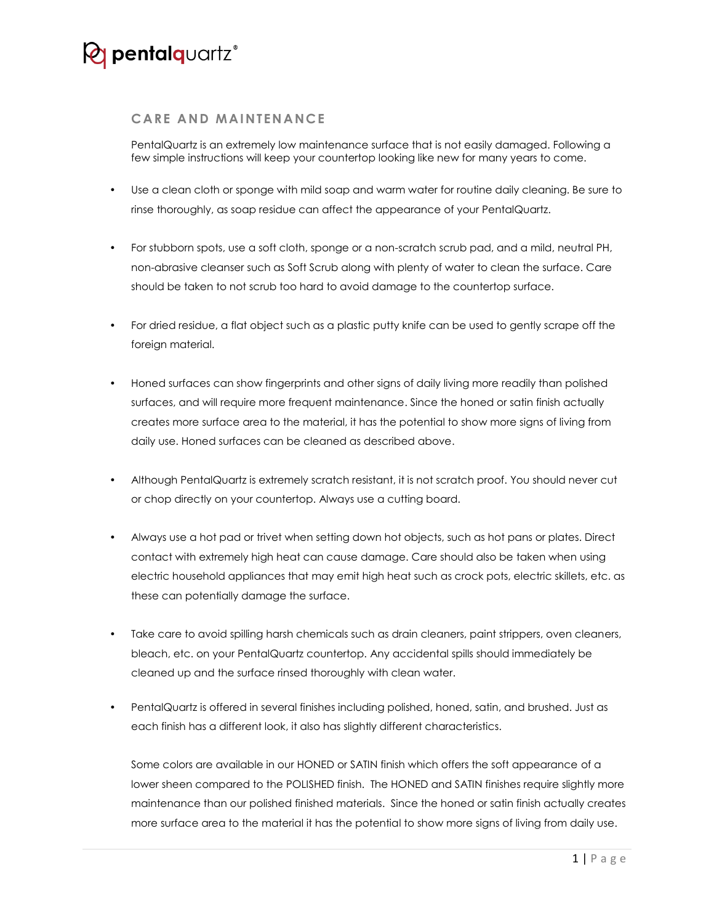## *Q* pentalquartz<sup>®</sup>

## **CARE AND MAINTENANCE**

PentalQuartz is an extremely low maintenance surface that is not easily damaged. Following a few simple instructions will keep your countertop looking like new for many years to come.

- Use a clean cloth or sponge with mild soap and warm water for routine daily cleaning. Be sure to rinse thoroughly, as soap residue can affect the appearance of your PentalQuartz.
- For stubborn spots, use a soft cloth, sponge or a non-scratch scrub pad, and a mild, neutral PH, non-abrasive cleanser such as Soft Scrub along with plenty of water to clean the surface. Care should be taken to not scrub too hard to avoid damage to the countertop surface.
- For dried residue, a flat object such as a plastic putty knife can be used to gently scrape off the foreign material.
- Honed surfaces can show fingerprints and other signs of daily living more readily than polished surfaces, and will require more frequent maintenance. Since the honed or satin finish actually creates more surface area to the material, it has the potential to show more signs of living from daily use. Honed surfaces can be cleaned as described above.
- Although PentalQuartz is extremely scratch resistant, it is not scratch proof. You should never cut or chop directly on your countertop. Always use a cutting board.
- Always use a hot pad or trivet when setting down hot objects, such as hot pans or plates. Direct contact with extremely high heat can cause damage. Care should also be taken when using electric household appliances that may emit high heat such as crock pots, electric skillets, etc. as these can potentially damage the surface.
- Take care to avoid spilling harsh chemicals such as drain cleaners, paint strippers, oven cleaners, bleach, etc. on your PentalQuartz countertop. Any accidental spills should immediately be cleaned up and the surface rinsed thoroughly with clean water.
- PentalQuartz is offered in several finishes including polished, honed, satin, and brushed. Just as each finish has a different look, it also has slightly different characteristics.

Some colors are available in our HONED or SATIN finish which offers the soft appearance of a lower sheen compared to the POLISHED finish. The HONED and SATIN finishes require slightly more maintenance than our polished finished materials. Since the honed or satin finish actually creates more surface area to the material it has the potential to show more signs of living from daily use.